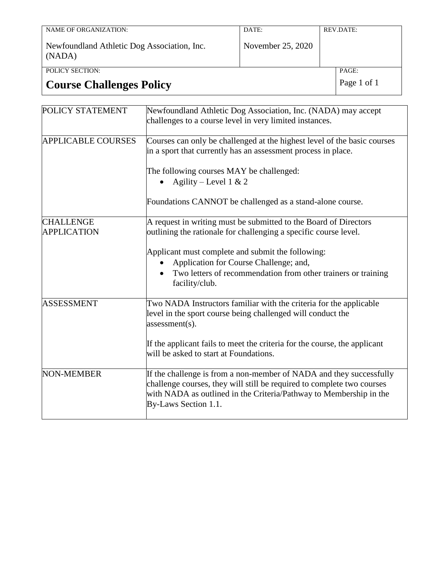| NAME OF ORGANIZATION:                                 | DATE:             | REV.DATE: |
|-------------------------------------------------------|-------------------|-----------|
| Newfoundland Athletic Dog Association, Inc.<br>(NADA) | November 25, 2020 |           |
| POLICY SECTION:                                       |                   | PAGE:     |

## **Course Challenges Policy** Page 1 of 1

| POLICY STATEMENT                       | Newfoundland Athletic Dog Association, Inc. (NADA) may accept<br>challenges to a course level in very limited instances.                                                                                                                    |  |
|----------------------------------------|---------------------------------------------------------------------------------------------------------------------------------------------------------------------------------------------------------------------------------------------|--|
| <b>APPLICABLE COURSES</b>              | Courses can only be challenged at the highest level of the basic courses<br>in a sport that currently has an assessment process in place.                                                                                                   |  |
|                                        | The following courses MAY be challenged:                                                                                                                                                                                                    |  |
|                                        | Agility – Level 1 & 2                                                                                                                                                                                                                       |  |
|                                        | Foundations CANNOT be challenged as a stand-alone course.                                                                                                                                                                                   |  |
| <b>CHALLENGE</b><br><b>APPLICATION</b> | A request in writing must be submitted to the Board of Directors<br>outlining the rationale for challenging a specific course level.                                                                                                        |  |
|                                        | Applicant must complete and submit the following:                                                                                                                                                                                           |  |
|                                        | Application for Course Challenge; and,                                                                                                                                                                                                      |  |
|                                        | Two letters of recommendation from other trainers or training<br>facility/club.                                                                                                                                                             |  |
| <b>ASSESSMENT</b>                      | Two NADA Instructors familiar with the criteria for the applicable<br>level in the sport course being challenged will conduct the<br>$assessment(s)$ .                                                                                      |  |
|                                        | If the applicant fails to meet the criteria for the course, the applicant<br>will be asked to start at Foundations.                                                                                                                         |  |
| <b>NON-MEMBER</b>                      | If the challenge is from a non-member of NADA and they successfully<br>challenge courses, they will still be required to complete two courses<br>with NADA as outlined in the Criteria/Pathway to Membership in the<br>By-Laws Section 1.1. |  |